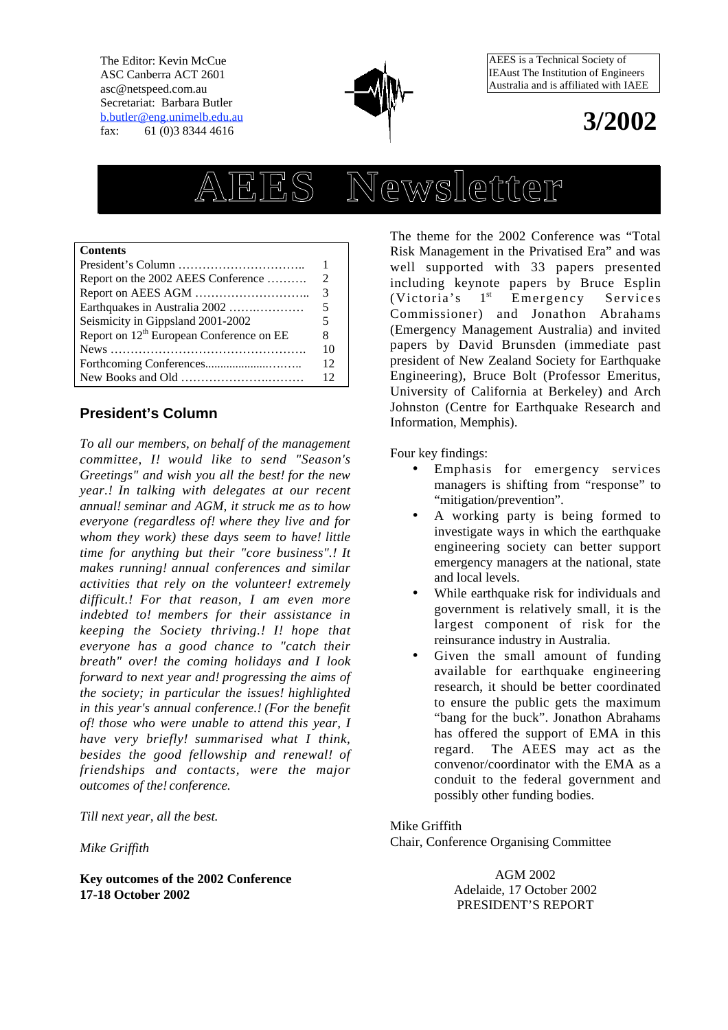The Editor: Kevin McCue ASC Canberra ACT 2601 asc@netspeed.com.au Secretariat: Barbara Butler b.butler@eng.unimelb.edu.au fax: 61 (0)3 8344 4616



AEES is a Technical Society of IEAust The Institution of Engineers Australia and is affiliated with IAEE

## **3/2002**

# **AEES Newsletter**

#### **Contents**

| Report on the 2002 AEES Conference                            | $\mathcal{D}_{\cdot}$ |
|---------------------------------------------------------------|-----------------------|
|                                                               | 3                     |
| Earthquakes in Australia 2002                                 | 5                     |
| Seismicity in Gippsland 2001-2002                             | 5                     |
| Report on 12 <sup>th</sup> European Conference on EE          | 8                     |
|                                                               | 10                    |
|                                                               | 12.                   |
| New Books and Old $\dots \dots \dots \dots \dots \dots \dots$ | $12^{\circ}$          |

## **President's Column**

*To all our members, on behalf of the management committee, I would like to send "Season's Greetings" and wish you all the best! for the new year. In talking with delegates at our recent annual seminar and AGM, it struck me as to how everyone (regardless of where they live and for whom they work) these days seem to have! little time for anything but their "core business". It makes running! annual conferences and similar activities that rely on the volunteer extremely difficult. For that reason, I am even more indebted to members for their assistance in keeping the Society thriving. I hope that everyone has a good chance to "catch their breath" over! the coming holidays and I look forward to next year and progressing the aims of the society; in particular the issues highlighted in this year's annual conference. (For the benefit of those who were unable to attend this year, I have very briefly summarised what I think, besides the good fellowship and renewal! of friendships and contacts, were the major outcomes of the conference.*

*Till next year, all the best.*

*Mike Griffith*

**Key outcomes of the 2002 Conference 17-18 October 2002**

The theme for the 2002 Conference was "Total Risk Management in the Privatised Era" and was well supported with 33 papers presented including keynote papers by Bruce Esplin (Victoria's 1st Emergency Services Commissioner) and Jonathon Abrahams (Emergency Management Australia) and invited papers by David Brunsden (immediate past president of New Zealand Society for Earthquake Engineering), Bruce Bolt (Professor Emeritus, University of California at Berkeley) and Arch Johnston (Centre for Earthquake Research and Information, Memphis).

Four key findings:

- Emphasis for emergency services managers is shifting from "response" to "mitigation/prevention".
- A working party is being formed to investigate ways in which the earthquake engineering society can better support emergency managers at the national, state and local levels.
- While earthquake risk for individuals and government is relatively small, it is the largest component of risk for the reinsurance industry in Australia.
- Given the small amount of funding available for earthquake engineering research, it should be better coordinated to ensure the public gets the maximum "bang for the buck". Jonathon Abrahams has offered the support of EMA in this regard. The AEES may act as the convenor/coordinator with the EMA as a conduit to the federal government and possibly other funding bodies.

Mike Griffith

Chair, Conference Organising Committee

AGM 2002 Adelaide, 17 October 2002 PRESIDENT'S REPORT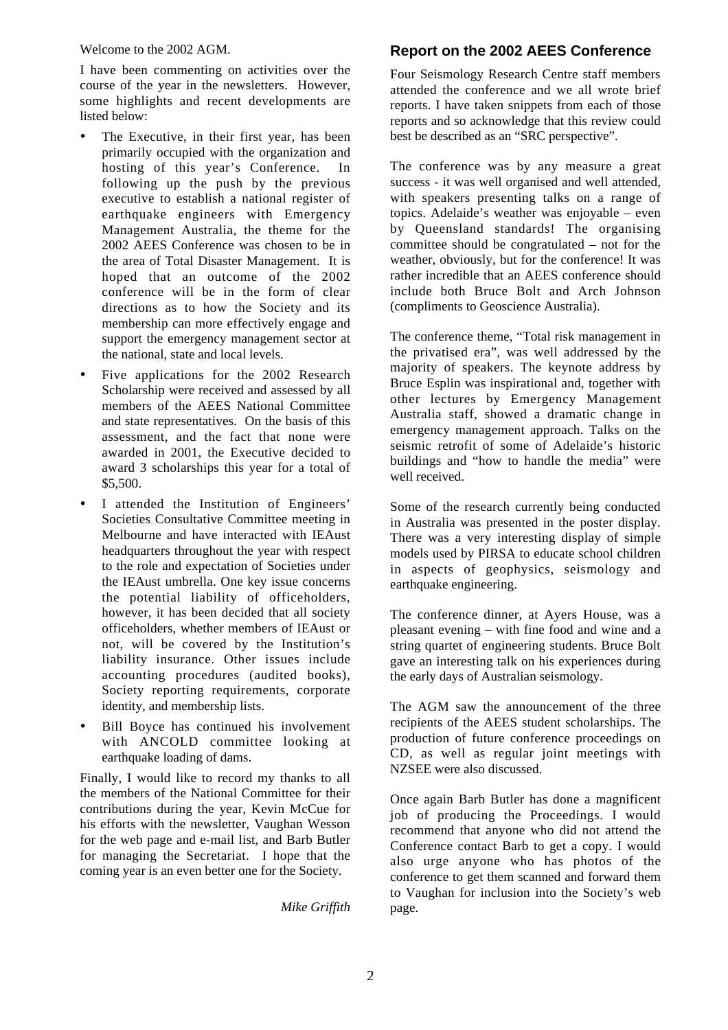Welcome to the 2002 AGM.

I have been commenting on activities over the course of the year in the newsletters. However, some highlights and recent developments are listed below:

- The Executive, in their first year, has been primarily occupied with the organization and hosting of this year's Conference. In following up the push by the previous executive to establish a national register of earthquake engineers with Emergency Management Australia, the theme for the 2002 AEES Conference was chosen to be in the area of Total Disaster Management. It is hoped that an outcome of the 2002 conference will be in the form of clear directions as to how the Society and its membership can more effectively engage and support the emergency management sector at the national, state and local levels.
- Five applications for the 2002 Research Scholarship were received and assessed by all members of the AEES National Committee and state representatives. On the basis of this assessment, and the fact that none were awarded in 2001, the Executive decided to award 3 scholarships this year for a total of \$5,500.
- I attended the Institution of Engineers' Societies Consultative Committee meeting in Melbourne and have interacted with IEAust headquarters throughout the year with respect to the role and expectation of Societies under the IEAust umbrella. One key issue concerns the potential liability of officeholders, however, it has been decided that all society officeholders, whether members of IEAust or not, will be covered by the Institution's liability insurance. Other issues include accounting procedures (audited books), Society reporting requirements, corporate identity, and membership lists.
- Bill Boyce has continued his involvement with ANCOLD committee looking at earthquake loading of dams.

Finally, I would like to record my thanks to all the members of the National Committee for their contributions during the year, Kevin McCue for his efforts with the newsletter, Vaughan Wesson for the web page and e-mail list, and Barb Butler for managing the Secretariat. I hope that the coming year is an even better one for the Society.

*Mike Griffith*

## **Report on the 2002 AEES Conference**

Four Seismology Research Centre staff members attended the conference and we all wrote brief reports. I have taken snippets from each of those reports and so acknowledge that this review could best be described as an "SRC perspective".

The conference was by any measure a great success - it was well organised and well attended, with speakers presenting talks on a range of topics. Adelaide's weather was enjoyable – even by Queensland standards! The organising committee should be congratulated – not for the weather, obviously, but for the conference! It was rather incredible that an AEES conference should include both Bruce Bolt and Arch Johnson (compliments to Geoscience Australia).

The conference theme, "Total risk management in the privatised era", was well addressed by the majority of speakers. The keynote address by Bruce Esplin was inspirational and, together with other lectures by Emergency Management Australia staff, showed a dramatic change in emergency management approach. Talks on the seismic retrofit of some of Adelaide's historic buildings and "how to handle the media" were well received.

Some of the research currently being conducted in Australia was presented in the poster display. There was a very interesting display of simple models used by PIRSA to educate school children in aspects of geophysics, seismology and earthquake engineering.

The conference dinner, at Ayers House, was a pleasant evening – with fine food and wine and a string quartet of engineering students. Bruce Bolt gave an interesting talk on his experiences during the early days of Australian seismology.

The AGM saw the announcement of the three recipients of the AEES student scholarships. The production of future conference proceedings on CD, as well as regular joint meetings with NZSEE were also discussed.

Once again Barb Butler has done a magnificent job of producing the Proceedings. I would recommend that anyone who did not attend the Conference contact Barb to get a copy. I would also urge anyone who has photos of the conference to get them scanned and forward them to Vaughan for inclusion into the Society's web page.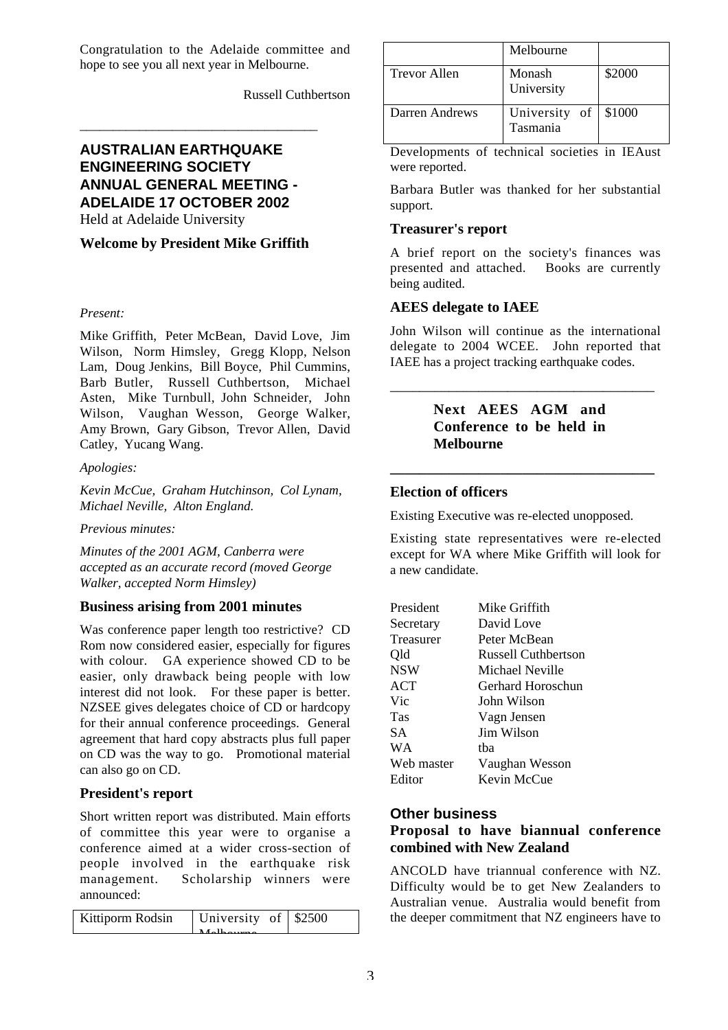Congratulation to the Adelaide committee and hope to see you all next year in Melbourne.

Russell Cuthbertson

## **AUSTRALIAN EARTHQUAKE ENGINEERING SOCIETY ANNUAL GENERAL MEETING - ADELAIDE 17 OCTOBER 2002** Held at Adelaide University

\_\_\_\_\_\_\_\_\_\_\_\_\_\_\_\_\_\_\_\_\_\_\_\_\_\_\_\_\_\_\_\_\_\_\_\_

#### **Welcome by President Mike Griffith**

#### *Present:*

Mike Griffith, Peter McBean, David Love, Jim Wilson, Norm Himsley, Gregg Klopp, Nelson Lam, Doug Jenkins, Bill Boyce, Phil Cummins, Barb Butler, Russell Cuthbertson, Michael Asten, Mike Turnbull, John Schneider, John Wilson, Vaughan Wesson, George Walker, Amy Brown, Gary Gibson, Trevor Allen, David Catley, Yucang Wang.

#### *Apologies:*

*Kevin McCue, Graham Hutchinson, Col Lynam, Michael Neville, Alton England.*

#### *Previous minutes:*

*Minutes of the 2001 AGM, Canberra were accepted as an accurate record (moved George Walker, accepted Norm Himsley)*

## **Business arising from 2001 minutes**

Was conference paper length too restrictive? CD Rom now considered easier, especially for figures with colour. GA experience showed CD to be easier, only drawback being people with low interest did not look. For these paper is better. NZSEE gives delegates choice of CD or hardcopy for their annual conference proceedings. General agreement that hard copy abstracts plus full paper on CD was the way to go. Promotional material can also go on CD.

## **President's report**

Short written report was distributed. Main efforts of committee this year were to organise a conference aimed at a wider cross-section of people involved in the earthquake risk management. Scholarship winners were announced:

| Kittiporm Rodsin | University of \$2500 |  |
|------------------|----------------------|--|
|                  | $M_0$ lhoumo         |  |
|                  |                      |  |

|                | Melbourne                         |        |
|----------------|-----------------------------------|--------|
| Trevor Allen   | Monash<br>University              | \$2000 |
| Darren Andrews | University of $\vert$<br>Tasmania | \$1000 |

Developments of technical societies in IEAust were reported.

Barbara Butler was thanked for her substantial support.

#### **Treasurer's report**

A brief report on the society's finances was presented and attached. Books are currently being audited.

## **AEES delegate to IAEE**

John Wilson will continue as the international delegate to 2004 WCEE. John reported that IAEE has a project tracking earthquake codes.

## **Next AEES AGM and Conference to be held in Melbourne**

**\_\_\_\_\_\_\_\_\_\_\_\_\_\_\_\_\_\_\_\_\_\_\_\_\_\_\_\_\_\_\_\_\_\_\_\_**

\_\_\_\_\_\_\_\_\_\_\_\_\_\_\_\_\_\_\_\_\_\_\_\_\_\_\_\_\_\_\_\_\_\_\_\_

## **Election of officers**

Existing Executive was re-elected unopposed.

Existing state representatives were re-elected except for WA where Mike Griffith will look for a new candidate.

| President  | Mike Griffith              |
|------------|----------------------------|
| Secretary  | David Love                 |
| Treasurer  | Peter McBean               |
| Qld        | <b>Russell Cuthbertson</b> |
| <b>NSW</b> | Michael Neville            |
| <b>ACT</b> | Gerhard Horoschun          |
| Vic        | John Wilson                |
| Tas        | Vagn Jensen                |
| SА         | Jim Wilson                 |
| WA         | tha                        |
| Web master | Vaughan Wesson             |
| Editor     | Kevin McCue                |

## **Other business**

## **Proposal to have biannual conference combined with New Zealand**

ANCOLD have triannual conference with NZ. Difficulty would be to get New Zealanders to Australian venue. Australia would benefit from the deeper commitment that NZ engineers have to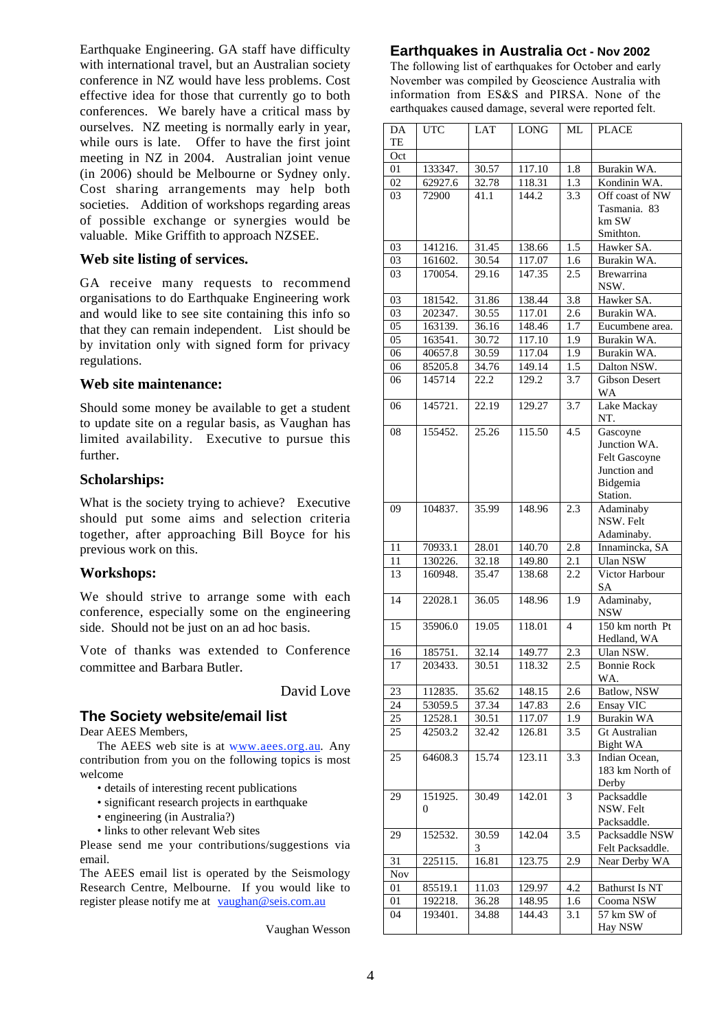Earthquake Engineering. GA staff have difficulty with international travel, but an Australian society conference in NZ would have less problems. Cost effective idea for those that currently go to both conferences. We barely have a critical mass by ourselves. NZ meeting is normally early in year, while ours is late. Offer to have the first joint meeting in NZ in 2004. Australian joint venue (in 2006) should be Melbourne or Sydney only. Cost sharing arrangements may help both societies. Addition of workshops regarding areas of possible exchange or synergies would be valuable. Mike Griffith to approach NZSEE.

#### **Web site listing of services.**

GA receive many requests to recommend organisations to do Earthquake Engineering work and would like to see site containing this info so that they can remain independent. List should be by invitation only with signed form for privacy regulations.

#### **Web site maintenance:**

Should some money be available to get a student to update site on a regular basis, as Vaughan has limited availability. Executive to pursue this further.

#### **Scholarships:**

What is the society trying to achieve? Executive should put some aims and selection criteria together, after approaching Bill Boyce for his previous work on this.

#### **Workshops:**

We should strive to arrange some with each conference, especially some on the engineering side. Should not be just on an ad hoc basis.

Vote of thanks was extended to Conference committee and Barbara Butler.

David Love

#### **The Society website/email list**

Dear AEES Members.

The AEES web site is at www.aees.org.au. Any contribution from you on the following topics is most welcome

- details of interesting recent publications
- significant research projects in earthquake
- engineering (in Australia?)
- links to other relevant Web sites

Please send me your contributions/suggestions via email.

The AEES email list is operated by the Seismology Research Centre, Melbourne. If you would like to register please notify me at vaughan@seis.com.au

Vaughan Wesson

#### **Earthquakes in Australia Oct - Nov 2002**

The following list of earthquakes for October and early November was compiled by Geoscience Australia with information from ES&S and PIRSA. None of the earthquakes caused damage, several were reported felt.

| DA<br><b>TE</b> | <b>UTC</b> | <b>LAT</b> | <b>LONG</b> | ML  | <b>PLACE</b>                    |
|-----------------|------------|------------|-------------|-----|---------------------------------|
| Oct             |            |            |             |     |                                 |
| 01              | 133347.    | 30.57      | 117.10      | 1.8 | Burakin WA.                     |
| 02              | 62927.6    | 32.78      | 118.31      | 1.3 | Kondinin WA.                    |
| 03              | 72900      | 41.1       | 144.2       | 3.3 | Off coast of NW<br>Tasmania. 83 |
|                 |            |            |             |     | km SW                           |
|                 |            |            |             |     | Smithton.                       |
| 03              | 141216.    | 31.45      | 138.66      | 1.5 | Hawker SA.                      |
| $\overline{03}$ | 161602.    | 30.54      | 117.07      | 1.6 | Burakin WA.                     |
| 03              | 170054.    | 29.16      | 147.35      | 2.5 | <b>Brewarrina</b><br>NSW.       |
| 03              | 181542.    | 31.86      | 138.44      | 3.8 | Hawker SA.                      |
| 03              | 202347.    | 30.55      | 117.01      | 2.6 | Burakin WA.                     |
| $\overline{05}$ | 163139.    | 36.16      | 148.46      | 1.7 | Eucumbene area.                 |
| 05              | 163541.    | 30.72      | 117.10      | 1.9 | Burakin WA.                     |
| 06              | 40657.8    | 30.59      | 117.04      | 1.9 | Burakin WA.                     |
| 06              | 85205.8    | 34.76      | 149.14      | 1.5 | Dalton NSW.                     |
| 06              | 145714     |            | 129.2       | 3.7 | <b>Gibson Desert</b>            |
|                 |            | 22.2       |             |     | <b>WA</b>                       |
| 06              | 145721.    | 22.19      | 129.27      | 3.7 | Lake Mackay<br>NT.              |
| 08              | 155452.    | 25.26      | 115.50      | 4.5 | Gascoyne                        |
|                 |            |            |             |     | Junction WA.                    |
|                 |            |            |             |     | Felt Gascoyne                   |
|                 |            |            |             |     | Junction and                    |
|                 |            |            |             |     | Bidgemia                        |
|                 |            |            |             |     | Station.                        |
| 09              | 104837.    | 35.99      | 148.96      | 2.3 | Adaminaby                       |
|                 |            |            |             |     | NSW. Felt                       |
|                 |            |            |             |     | Adaminaby.                      |
| 11              | 70933.1    | 28.01      | 140.70      | 2.8 | Innamincka, SA                  |
| 11              | 130226.    | 32.18      | 149.80      | 2.1 | <b>Ulan NSW</b>                 |
| 13              | 160948.    | 35.47      | 138.68      | 2.2 | Victor Harbour<br>SА            |
| 14              | 22028.1    | 36.05      | 148.96      | 1.9 | Adaminaby,<br><b>NSW</b>        |
| 15              | 35906.0    | 19.05      | 118.01      | 4   | 150 km north Pt<br>Hedland, WA  |
| 16              | 185751.    | 32.14      | 149.77      | 2.3 | Ulan NSW.                       |
| 17              | 203433.    | 30.51      | 118.32      | 2.5 | <b>Bonnie Rock</b>              |
|                 |            |            |             |     | WA.                             |
| 23              | 112835.    | 35.62      | 148.15      | 2.6 | Batlow, NSW                     |
| 24              | 53059.5    | 37.34      | 147.83      | 2.6 | Ensay VIC                       |
| 25              | 12528.1    | 30.51      | 117.07      | 1.9 | Burakin WA                      |
| 25              | 42503.2    | 32.42      | 126.81      | 3.5 | Gt Australian                   |
|                 |            |            |             |     | Bight WA                        |
| 25              | 64608.3    | 15.74      | 123.11      | 3.3 | Indian Ocean,                   |
|                 |            |            |             |     | 183 km North of                 |
|                 |            |            |             |     | Derby                           |
| 29              | 151925.    | 30.49      | 142.01      | 3   | Packsaddle                      |
|                 | 0          |            |             |     | NSW. Felt                       |
|                 |            |            |             |     | Packsaddle.                     |
| 29              | 152532.    | 30.59      | 142.04      | 3.5 | Packsaddle NSW                  |
|                 |            | 3          |             |     | Felt Packsaddle.                |
| 31              | 225115.    | 16.81      | 123.75      | 2.9 | Near Derby WA                   |
| <b>Nov</b>      |            |            |             |     |                                 |
| 01              | 85519.1    | 11.03      | 129.97      | 4.2 | <b>Bathurst Is NT</b>           |
| 01              | 192218.    | 36.28      | 148.95      | 1.6 | Cooma NSW                       |
| 04              |            |            |             |     |                                 |
|                 | 193401.    | 34.88      | 144.43      | 3.1 | 57 km SW of                     |
|                 |            |            |             |     | Hay NSW                         |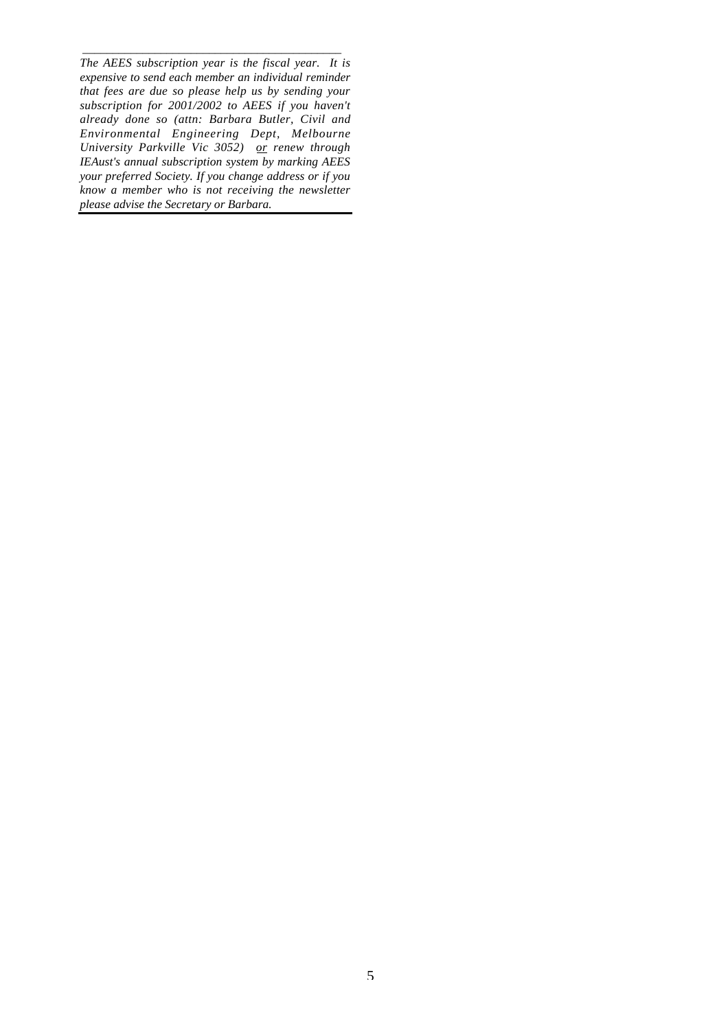\_\_\_\_\_\_\_\_\_\_\_\_\_\_\_\_\_\_\_\_\_\_\_\_\_\_\_\_\_\_\_\_\_\_\_\_\_\_\_\_\_\_\_ *The AEES subscription year is the fiscal year. It is expensive to send each member an individual reminder that fees are due so please help us by sending your subscription for 2001/2002 to AEES if you haven't already done so (attn: Barbara Butler, Civil and Environmental Engineering Dept, Melbourne University Parkville Vic 3052) or renew through IEAust's annual subscription system by marking AEES your preferred Society. If you change address or if you know a member who is not receiving the newsletter please advise the Secretary or Barbara.*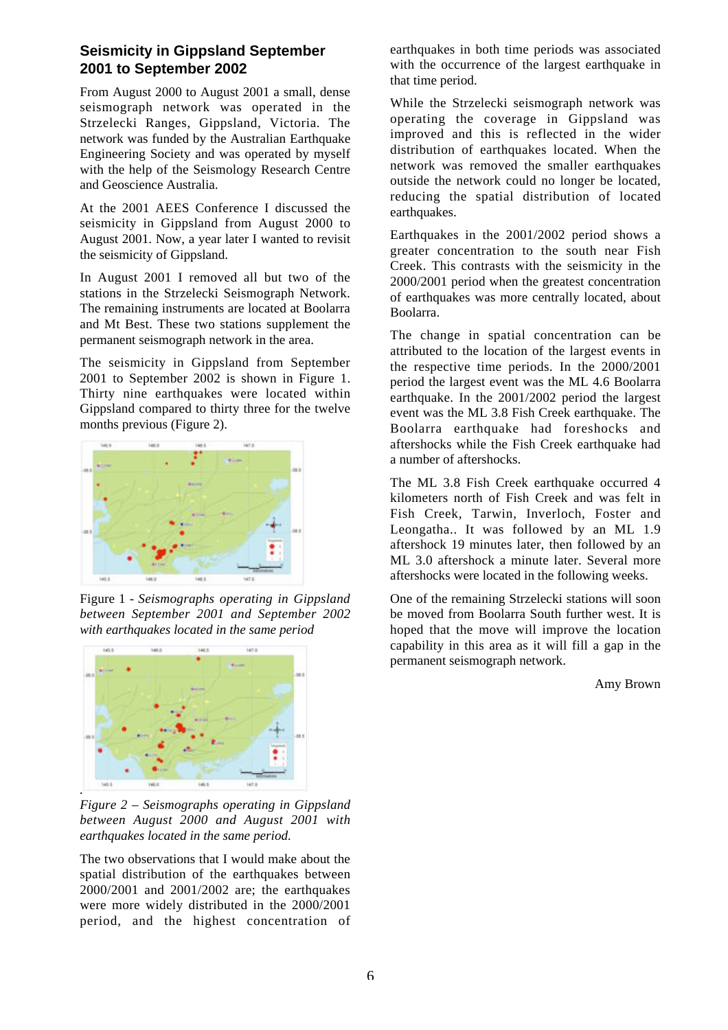## **Seismicity in Gippsland September 2001 to September 2002**

From August 2000 to August 2001 a small, dense seismograph network was operated in the Strzelecki Ranges, Gippsland, Victoria. The network was funded by the Australian Earthquake Engineering Society and was operated by myself with the help of the Seismology Research Centre and Geoscience Australia.

At the 2001 AEES Conference I discussed the seismicity in Gippsland from August 2000 to August 2001. Now, a year later I wanted to revisit the seismicity of Gippsland.

In August 2001 I removed all but two of the stations in the Strzelecki Seismograph Network. The remaining instruments are located at Boolarra and Mt Best. These two stations supplement the permanent seismograph network in the area.

The seismicity in Gippsland from September 2001 to September 2002 is shown in Figure 1. Thirty nine earthquakes were located within Gippsland compared to thirty three for the twelve months previous (Figure 2).



Figure 1 - *Seismographs operating in Gippsland between September 2001 and September 2002 with earthquakes located in the same period*



*Figure 2 – Seismographs operating in Gippsland between August 2000 and August 2001 with earthquakes located in the same period.*

The two observations that I would make about the spatial distribution of the earthquakes between 2000/2001 and 2001/2002 are; the earthquakes were more widely distributed in the 2000/2001 period, and the highest concentration of earthquakes in both time periods was associated with the occurrence of the largest earthquake in that time period.

While the Strzelecki seismograph network was operating the coverage in Gippsland was improved and this is reflected in the wider distribution of earthquakes located. When the network was removed the smaller earthquakes outside the network could no longer be located, reducing the spatial distribution of located earthquakes.

Earthquakes in the 2001/2002 period shows a greater concentration to the south near Fish Creek. This contrasts with the seismicity in the 2000/2001 period when the greatest concentration of earthquakes was more centrally located, about Boolarra.

The change in spatial concentration can be attributed to the location of the largest events in the respective time periods. In the 2000/2001 period the largest event was the ML 4.6 Boolarra earthquake. In the 2001/2002 period the largest event was the ML 3.8 Fish Creek earthquake. The Boolarra earthquake had foreshocks and aftershocks while the Fish Creek earthquake had a number of aftershocks.

The ML 3.8 Fish Creek earthquake occurred 4 kilometers north of Fish Creek and was felt in Fish Creek, Tarwin, Inverloch, Foster and Leongatha.. It was followed by an ML 1.9 aftershock 19 minutes later, then followed by an ML 3.0 aftershock a minute later. Several more aftershocks were located in the following weeks.

One of the remaining Strzelecki stations will soon be moved from Boolarra South further west. It is hoped that the move will improve the location capability in this area as it will fill a gap in the permanent seismograph network.

Amy Brown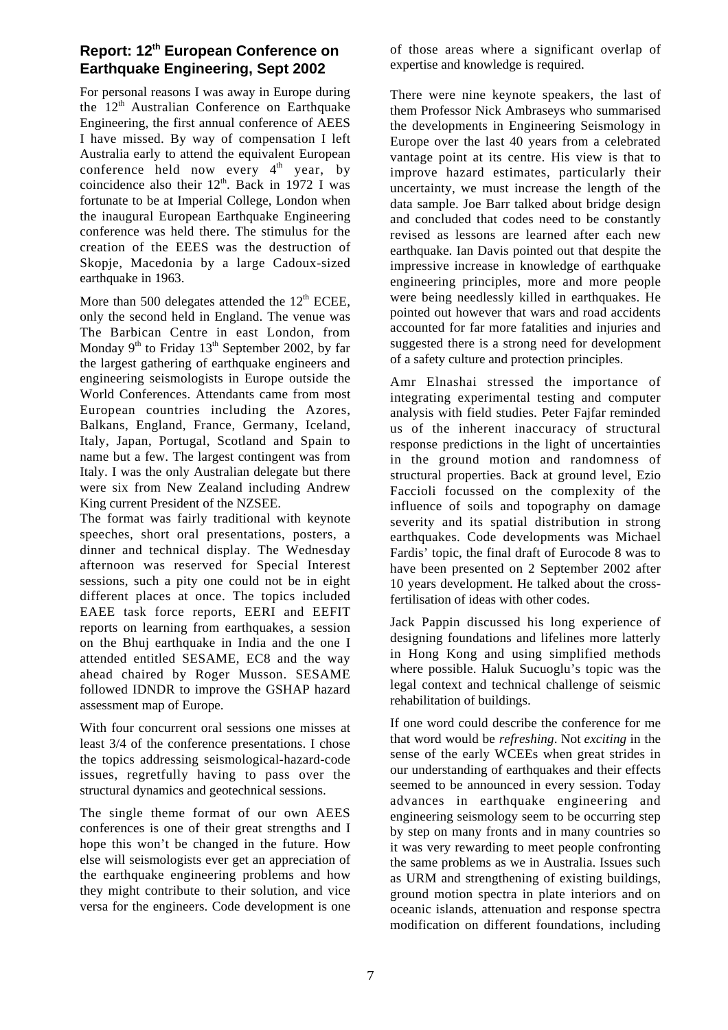## **Report: 12th European Conference on Earthquake Engineering, Sept 2002**

For personal reasons I was away in Europe during the  $12<sup>th</sup>$  Australian Conference on Earthquake Engineering, the first annual conference of AEES I have missed. By way of compensation I left Australia early to attend the equivalent European conference held now every  $4<sup>th</sup>$  year, by coincidence also their  $12<sup>th</sup>$ . Back in 1972 I was fortunate to be at Imperial College, London when the inaugural European Earthquake Engineering conference was held there. The stimulus for the creation of the EEES was the destruction of Skopje, Macedonia by a large Cadoux-sized earthquake in 1963.

More than 500 delegates attended the  $12<sup>th</sup>$  ECEE, only the second held in England. The venue was The Barbican Centre in east London, from Monday  $9<sup>th</sup>$  to Friday 13<sup>th</sup> September 2002, by far the largest gathering of earthquake engineers and engineering seismologists in Europe outside the World Conferences. Attendants came from most European countries including the Azores, Balkans, England, France, Germany, Iceland, Italy, Japan, Portugal, Scotland and Spain to name but a few. The largest contingent was from Italy. I was the only Australian delegate but there were six from New Zealand including Andrew King current President of the NZSEE.

The format was fairly traditional with keynote speeches, short oral presentations, posters, a dinner and technical display. The Wednesday afternoon was reserved for Special Interest sessions, such a pity one could not be in eight different places at once. The topics included EAEE task force reports, EERI and EEFIT reports on learning from earthquakes, a session on the Bhuj earthquake in India and the one I attended entitled SESAME, EC8 and the way ahead chaired by Roger Musson. SESAME followed IDNDR to improve the GSHAP hazard assessment map of Europe.

With four concurrent oral sessions one misses at least 3/4 of the conference presentations. I chose the topics addressing seismological-hazard-code issues, regretfully having to pass over the structural dynamics and geotechnical sessions.

The single theme format of our own AEES conferences is one of their great strengths and I hope this won't be changed in the future. How else will seismologists ever get an appreciation of the earthquake engineering problems and how they might contribute to their solution, and vice versa for the engineers. Code development is one of those areas where a significant overlap of expertise and knowledge is required.

There were nine keynote speakers, the last of them Professor Nick Ambraseys who summarised the developments in Engineering Seismology in Europe over the last 40 years from a celebrated vantage point at its centre. His view is that to improve hazard estimates, particularly their uncertainty, we must increase the length of the data sample. Joe Barr talked about bridge design and concluded that codes need to be constantly revised as lessons are learned after each new earthquake. Ian Davis pointed out that despite the impressive increase in knowledge of earthquake engineering principles, more and more people were being needlessly killed in earthquakes. He pointed out however that wars and road accidents accounted for far more fatalities and injuries and suggested there is a strong need for development of a safety culture and protection principles.

Amr Elnashai stressed the importance of integrating experimental testing and computer analysis with field studies. Peter Fajfar reminded us of the inherent inaccuracy of structural response predictions in the light of uncertainties in the ground motion and randomness of structural properties. Back at ground level, Ezio Faccioli focussed on the complexity of the influence of soils and topography on damage severity and its spatial distribution in strong earthquakes. Code developments was Michael Fardis' topic, the final draft of Eurocode 8 was to have been presented on 2 September 2002 after 10 years development. He talked about the crossfertilisation of ideas with other codes.

Jack Pappin discussed his long experience of designing foundations and lifelines more latterly in Hong Kong and using simplified methods where possible. Haluk Sucuoglu's topic was the legal context and technical challenge of seismic rehabilitation of buildings.

If one word could describe the conference for me that word would be *refreshing*. Not *exciting* in the sense of the early WCEEs when great strides in our understanding of earthquakes and their effects seemed to be announced in every session. Today advances in earthquake engineering and engineering seismology seem to be occurring step by step on many fronts and in many countries so it was very rewarding to meet people confronting the same problems as we in Australia. Issues such as URM and strengthening of existing buildings, ground motion spectra in plate interiors and on oceanic islands, attenuation and response spectra modification on different foundations, including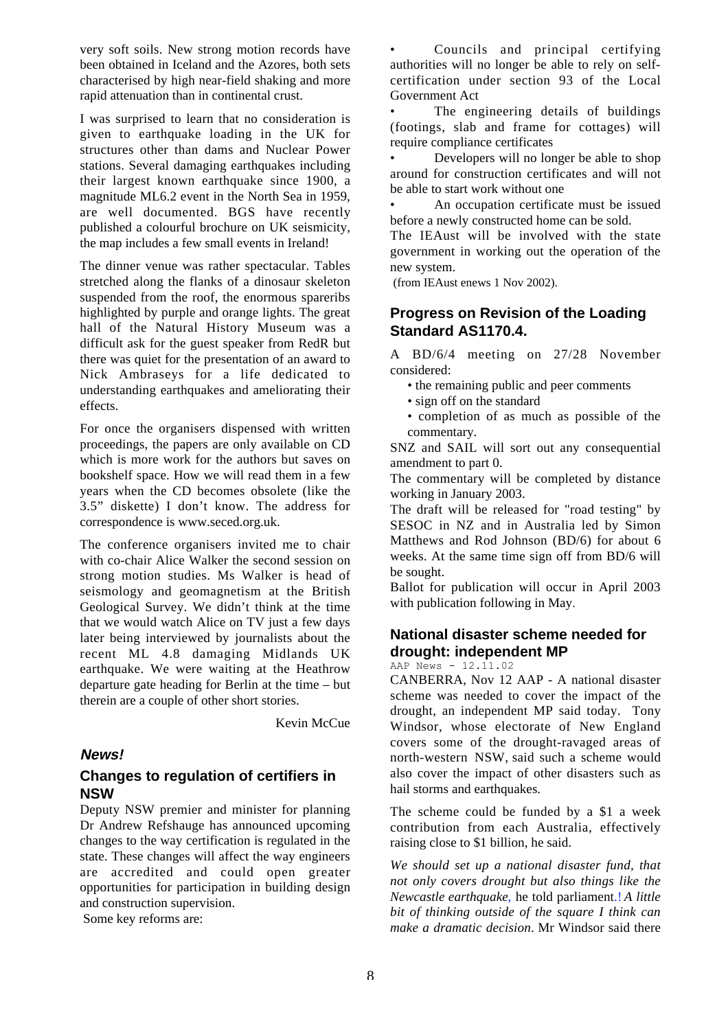very soft soils. New strong motion records have been obtained in Iceland and the Azores, both sets characterised by high near-field shaking and more rapid attenuation than in continental crust.

I was surprised to learn that no consideration is given to earthquake loading in the UK for structures other than dams and Nuclear Power stations. Several damaging earthquakes including their largest known earthquake since 1900, a magnitude ML6.2 event in the North Sea in 1959, are well documented. BGS have recently published a colourful brochure on UK seismicity, the map includes a few small events in Ireland!

The dinner venue was rather spectacular. Tables stretched along the flanks of a dinosaur skeleton suspended from the roof, the enormous spareribs highlighted by purple and orange lights. The great hall of the Natural History Museum was a difficult ask for the guest speaker from RedR but there was quiet for the presentation of an award to Nick Ambraseys for a life dedicated to understanding earthquakes and ameliorating their effects.

For once the organisers dispensed with written proceedings, the papers are only available on CD which is more work for the authors but saves on bookshelf space. How we will read them in a few years when the CD becomes obsolete (like the 3.5" diskette) I don't know. The address for correspondence is www.seced.org.uk.

The conference organisers invited me to chair with co-chair Alice Walker the second session on strong motion studies. Ms Walker is head of seismology and geomagnetism at the British Geological Survey. We didn't think at the time that we would watch Alice on TV just a few days later being interviewed by journalists about the recent ML 4.8 damaging Midlands UK earthquake. We were waiting at the Heathrow departure gate heading for Berlin at the time – but therein are a couple of other short stories.

Kevin McCue

## **News!**

## **Changes to regulation of certifiers in NSW**

Deputy NSW premier and minister for planning Dr Andrew Refshauge has announced upcoming changes to the way certification is regulated in the state. These changes will affect the way engineers are accredited and could open greater opportunities for participation in building design and construction supervision.

Some key reforms are:

Councils and principal certifying authorities will no longer be able to rely on selfcertification under section 93 of the Local Government Act

The engineering details of buildings (footings, slab and frame for cottages) will require compliance certificates

• Developers will no longer be able to shop around for construction certificates and will not be able to start work without one

• An occupation certificate must be issued before a newly constructed home can be sold.

The IEAust will be involved with the state government in working out the operation of the new system.

(from IEAust enews 1 Nov 2002).

## **Progress on Revision of the Loading Standard AS1170.4.**

A BD/6/4 meeting on 27/28 November considered:

- the remaining public and peer comments
- sign off on the standard
- completion of as much as possible of the commentary.

SNZ and SAIL will sort out any consequential amendment to part 0.

The commentary will be completed by distance working in January 2003.

The draft will be released for "road testing" by SESOC in NZ and in Australia led by Simon Matthews and Rod Johnson (BD/6) for about 6 weeks. At the same time sign off from BD/6 will be sought.

Ballot for publication will occur in April 2003 with publication following in May.

## **National disaster scheme needed for drought: independent MP**

AAP News - 12.11.02

CANBERRA, Nov 12 AAP - A national disaster scheme was needed to cover the impact of the drought, an independent MP said today. Tony Windsor, whose electorate of New England covers some of the drought-ravaged areas of north-western NSW, said such a scheme would also cover the impact of other disasters such as hail storms and earthquakes.

The scheme could be funded by a \$1 a week contribution from each Australia, effectively raising close to \$1 billion, he said.

*We should set up a national disaster fund, that not only covers drought but also things like the Newcastle earthquake*, he told parliament. *A little bit of thinking outside of the square I think can make a dramatic decision*. Mr Windsor said there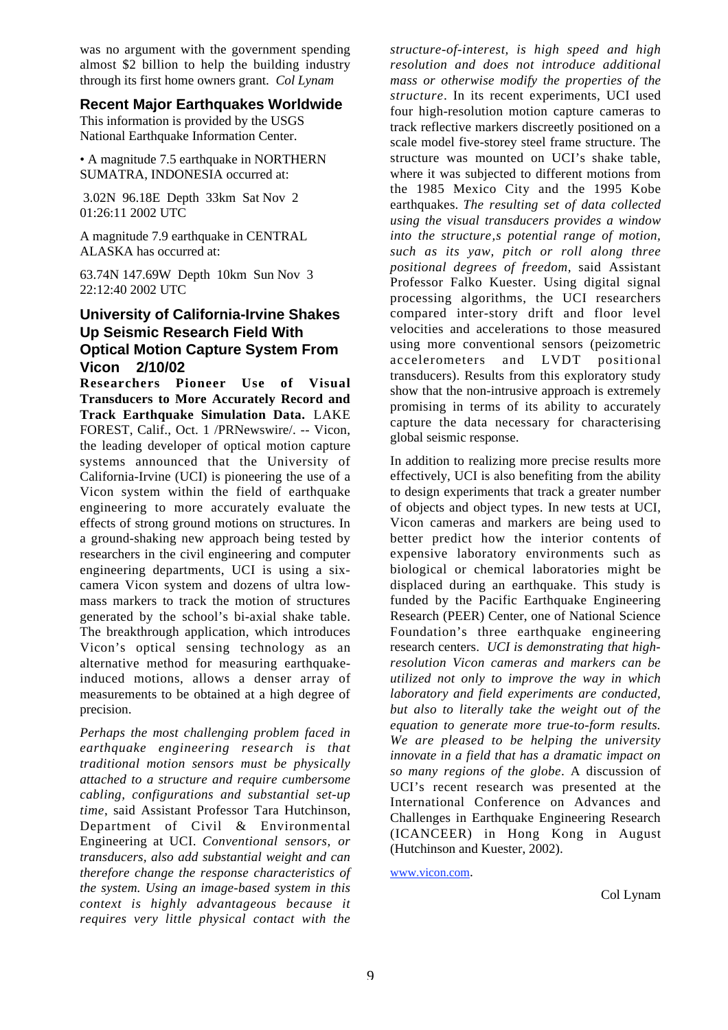was no argument with the government spending almost \$2 billion to help the building industry through its first home owners grant. *Col Lynam*

#### **Recent Major Earthquakes Worldwide**

This information is provided by the USGS National Earthquake Information Center.

• A magnitude 7.5 earthquake in NORTHERN SUMATRA, INDONESIA occurred at:

 3.02N 96.18E Depth 33km Sat Nov 2 01:26:11 2002 UTC

A magnitude 7.9 earthquake in CENTRAL ALASKA has occurred at:

63.74N 147.69W Depth 10km Sun Nov 3 22:12:40 2002 UTC

## **University of California-Irvine Shakes Up Seismic Research Field With Optical Motion Capture System From Vicon 2/10/02**

**Researchers Pioneer Use of Visual Transducers to More Accurately Record and Track Earthquake Simulation Data.** LAKE FOREST, Calif., Oct. 1 /PRNewswire/. -- Vicon, the leading developer of optical motion capture systems announced that the University of California-Irvine (UCI) is pioneering the use of a Vicon system within the field of earthquake engineering to more accurately evaluate the effects of strong ground motions on structures. In a ground-shaking new approach being tested by researchers in the civil engineering and computer engineering departments, UCI is using a sixcamera Vicon system and dozens of ultra lowmass markers to track the motion of structures generated by the school's bi-axial shake table. The breakthrough application, which introduces Vicon's optical sensing technology as an alternative method for measuring earthquakeinduced motions, allows a denser array of measurements to be obtained at a high degree of precision.

*Perhaps the most challenging problem faced in earthquake engineering research is that traditional motion sensors must be physically attached to a structure and require cumbersome cabling, configurations and substantial set-up time*, said Assistant Professor Tara Hutchinson, Department of Civil & Environmental Engineering at UCI. *Conventional sensors, or transducers, also add substantial weight and can therefore change the response characteristics of the system. Using an image-based system in this context is highly advantageous because it requires very little physical contact with the*

*structure-of-interest, is high speed and high resolution and does not introduce additional mass or otherwise modify the properties of the structure*. In its recent experiments, UCI used four high-resolution motion capture cameras to track reflective markers discreetly positioned on a scale model five-storey steel frame structure. The structure was mounted on UCI's shake table, where it was subjected to different motions from the 1985 Mexico City and the 1995 Kobe earthquakes. *The resulting set of data collected using the visual transducers provides a window* into the structure, *s* potential range of motion, *such as its yaw, pitch or roll along three positional degrees of freedom,* said Assistant Professor Falko Kuester. Using digital signal processing algorithms, the UCI researchers compared inter-story drift and floor level velocities and accelerations to those measured using more conventional sensors (peizometric accelerometers and LVDT positional transducers). Results from this exploratory study show that the non-intrusive approach is extremely promising in terms of its ability to accurately capture the data necessary for characterising global seismic response.

In addition to realizing more precise results more effectively, UCI is also benefiting from the ability to design experiments that track a greater number of objects and object types. In new tests at UCI, Vicon cameras and markers are being used to better predict how the interior contents of expensive laboratory environments such as biological or chemical laboratories might be displaced during an earthquake. This study is funded by the Pacific Earthquake Engineering Research (PEER) Center, one of National Science Foundation's three earthquake engineering research centers. *UCI is demonstrating that highresolution Vicon cameras and markers can be utilized not only to improve the way in which laboratory and field experiments are conducted, but also to literally take the weight out of the equation to generate more true-to-form results. We are pleased to be helping the university innovate in a field that has a dramatic impact on so many regions of the globe*. A discussion of UCI's recent research was presented at the International Conference on Advances and Challenges in Earthquake Engineering Research (ICANCEER) in Hong Kong in August (Hutchinson and Kuester, 2002).

www.vicon.com.

Col Lynam